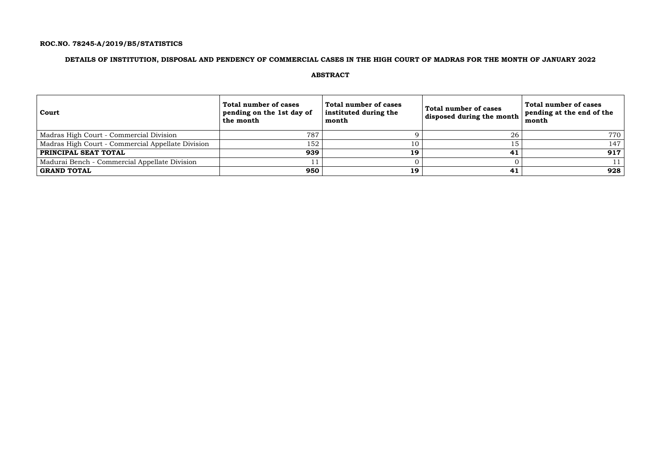## **ROC.NO. 78245-A/2019/B5/STATISTICS**

## **DETAILS OF INSTITUTION, DISPOSAL AND PENDENCY OF COMMERCIAL CASES IN THE HIGH COURT OF MADRAS FOR THE MONTH OF JANUARY 2022**

### **ABSTRACT**

| Court                                             | Total number of cases<br>pending on the 1st day of<br>the month | <b>Total number of cases</b><br>instituted during the<br>month | Total number of cases<br>disposed during the month | Total number of cases<br>pending at the end of the<br>month |
|---------------------------------------------------|-----------------------------------------------------------------|----------------------------------------------------------------|----------------------------------------------------|-------------------------------------------------------------|
| Madras High Court - Commercial Division           | 787                                                             |                                                                | 26                                                 | 770                                                         |
| Madras High Court - Commercial Appellate Division | 152                                                             | 10                                                             |                                                    | 147                                                         |
| <b>PRINCIPAL SEAT TOTAL</b>                       | 939                                                             | 19                                                             | 41                                                 | 917                                                         |
| Madurai Bench - Commercial Appellate Division     |                                                                 |                                                                |                                                    |                                                             |
| GRAND TOTAL                                       | 950                                                             | 19                                                             | 41                                                 | 928                                                         |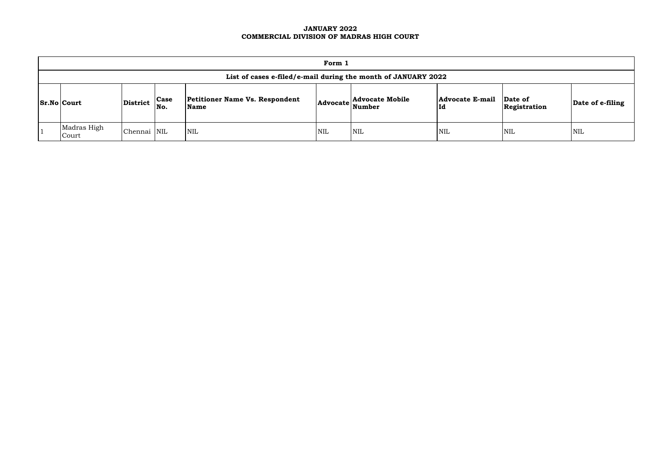### **JANUARY 2022 COMMERCIAL DIVISION OF MADRAS HIGH COURT**

| Form 1                                                                                                                                                                                                                                         |             |  |            |            |            |     |            |            |  |  |  |
|------------------------------------------------------------------------------------------------------------------------------------------------------------------------------------------------------------------------------------------------|-------------|--|------------|------------|------------|-----|------------|------------|--|--|--|
| List of cases e-filed/e-mail during the month of JANUARY 2022                                                                                                                                                                                  |             |  |            |            |            |     |            |            |  |  |  |
| <b>Case</b><br><b>Petitioner Name Vs. Respondent</b><br><b>Advocate E-mail</b><br><b>Advocate Mobile</b><br>Date of<br>District<br>$\vert$ Sr.No $\vert$ Court<br>Date of e-filing<br>  Advocate   Number<br>No.<br>Name<br>Id<br>Registration |             |  |            |            |            |     |            |            |  |  |  |
| Madras High<br>Court                                                                                                                                                                                                                           | Chennai NIL |  | <b>NIL</b> | <b>NIL</b> | <b>NIL</b> | NIL | <b>NIL</b> | <b>NIL</b> |  |  |  |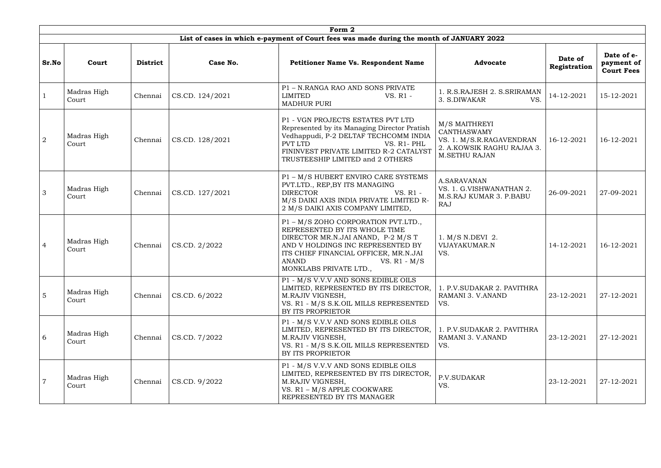|                | Form 2               |                 |                 |                                                                                                                                                                                                                                                      |                                                                                                                       |                         |                                               |  |  |  |  |  |
|----------------|----------------------|-----------------|-----------------|------------------------------------------------------------------------------------------------------------------------------------------------------------------------------------------------------------------------------------------------------|-----------------------------------------------------------------------------------------------------------------------|-------------------------|-----------------------------------------------|--|--|--|--|--|
|                |                      |                 |                 | List of cases in which e-payment of Court fees was made during the month of JANUARY 2022                                                                                                                                                             |                                                                                                                       |                         |                                               |  |  |  |  |  |
| Sr.No          | Court                | <b>District</b> | Case No.        | <b>Petitioner Name Vs. Respondent Name</b>                                                                                                                                                                                                           | <b>Advocate</b>                                                                                                       | Date of<br>Registration | Date of e-<br>payment of<br><b>Court Fees</b> |  |  |  |  |  |
|                | Madras High<br>Court | Chennai         | CS.CD. 124/2021 | P1 - N.RANGA RAO AND SONS PRIVATE<br><b>LIMITED</b><br>VS. R1 -<br><b>MADHUR PURI</b>                                                                                                                                                                | 1. R.S.RAJESH 2. S.SRIRAMAN<br>3. S.DIWAKAR<br>VS.                                                                    | 14-12-2021              | 15-12-2021                                    |  |  |  |  |  |
| $\overline{2}$ | Madras High<br>Court | Chennai         | CS.CD. 128/2021 | P1 - VGN PROJECTS ESTATES PVT LTD<br>Represented by its Managing Director Pratish<br>Vedhappudi, P-2 DELTAF TECHCOMM INDIA<br>PVT LTD<br>VS. R1-PHL<br>FININVEST PRIVATE LIMITED R-2 CATALYST<br>TRUSTEESHIP LIMITED and 2 OTHERS                    | M/S MAITHREYI<br><b>CANTHASWAMY</b><br>VS. 1. M/S.R.RAGAVENDRAN<br>2. A.KOWSIK RAGHU RAJAA 3.<br><b>M.SETHU RAJAN</b> | 16-12-2021              | 16-12-2021                                    |  |  |  |  |  |
| 3              | Madras High<br>Court | Chennai         | CS.CD. 127/2021 | P1 - M/S HUBERT ENVIRO CARE SYSTEMS<br>PVT.LTD., REP, BY ITS MANAGING<br><b>DIRECTOR</b><br>VS. R1 -<br>M/S DAIKI AXIS INDIA PRIVATE LIMITED R-<br>2 M/S DAIKI AXIS COMPANY LIMITED,                                                                 | A.SARAVANAN<br>VS. 1. G.VISHWANATHAN 2.<br>M.S.RAJ KUMAR 3. P.BABU<br>RAJ                                             | 26-09-2021              | 27-09-2021                                    |  |  |  |  |  |
| $\overline{4}$ | Madras High<br>Court | Chennai         | CS.CD. 2/2022   | P1 - M/S ZOHO CORPORATION PVT.LTD.,<br>REPRESENTED BY ITS WHOLE TIME<br>DIRECTOR MR.N.JAI ANAND, P-2 M/S T<br>AND V HOLDINGS INC REPRESENTED BY<br>ITS CHIEF FINANCIAL OFFICER, MR.N.JAI<br><b>ANAND</b><br>VS. $R1 - M/S$<br>MONKLABS PRIVATE LTD., | 1. M/S N.DEVI 2.<br>VIJAYAKUMAR.N<br>VS.                                                                              | 14-12-2021              | 16-12-2021                                    |  |  |  |  |  |
| $\overline{5}$ | Madras High<br>Court | Chennai         | CS.CD. 6/2022   | P1 - M/S V.V.V AND SONS EDIBLE OILS<br>LIMITED, REPRESENTED BY ITS DIRECTOR,<br>M.RAJIV VIGNESH,<br>VS. R1 - M/S S.K.OIL MILLS REPRESENTED<br>BY ITS PROPRIETOR                                                                                      | 1. P.V. SUDAKAR 2. PAVITHRA<br>RAMANI 3. V.ANAND<br>VS.                                                               | 23-12-2021              | 27-12-2021                                    |  |  |  |  |  |
| 6              | Madras High<br>Court | Chennai         | CS.CD. 7/2022   | P1 - M/S V.V.V AND SONS EDIBLE OILS<br>LIMITED, REPRESENTED BY ITS DIRECTOR,<br>M.RAJIV VIGNESH,<br>VS. R1 - M/S S.K.OIL MILLS REPRESENTED<br>BY ITS PROPRIETOR                                                                                      | 1. P.V. SUDAKAR 2. PAVITHRA<br>RAMANI 3. V.ANAND<br>VS.                                                               | 23-12-2021              | 27-12-2021                                    |  |  |  |  |  |
|                | Madras High<br>Court | Chennai         | CS.CD. 9/2022   | P1 - M/S V.V.V AND SONS EDIBLE OILS<br>LIMITED, REPRESENTED BY ITS DIRECTOR,<br>M.RAJIV VIGNESH,<br>VS. R1 - M/S APPLE COOKWARE<br>REPRESENTED BY ITS MANAGER                                                                                        | P.V.SUDAKAR<br>VS.                                                                                                    | 23-12-2021              | 27-12-2021                                    |  |  |  |  |  |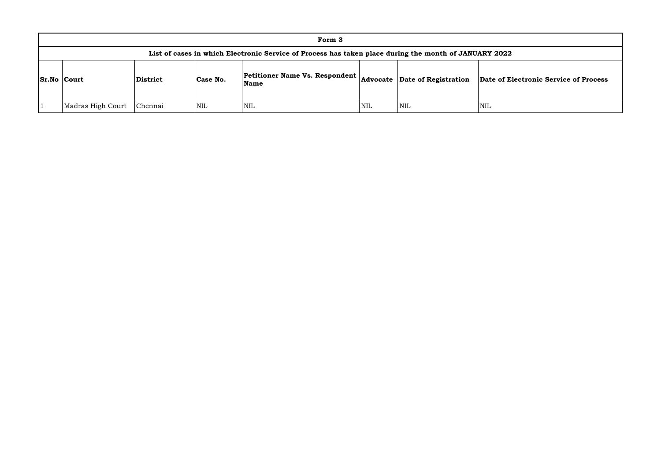|                    | Form 3                                                                                                |                 |                                                                                                          |            |            |            |            |  |  |  |  |  |  |
|--------------------|-------------------------------------------------------------------------------------------------------|-----------------|----------------------------------------------------------------------------------------------------------|------------|------------|------------|------------|--|--|--|--|--|--|
|                    | List of cases in which Electronic Service of Process has taken place during the month of JANUARY 2022 |                 |                                                                                                          |            |            |            |            |  |  |  |  |  |  |
| <b>Sr.No Court</b> |                                                                                                       | <b>District</b> | $\vert$ Petitioner Name Vs. Respondent $\vert$ Advocate $\vert$ Date of Registration<br>Case No.<br>Name |            |            |            | Date of E  |  |  |  |  |  |  |
|                    | Madras High Court                                                                                     | Chennai         | <b>NIL</b>                                                                                               | <b>NIL</b> | <b>NIL</b> | <b>NIL</b> | <b>NIL</b> |  |  |  |  |  |  |

### **Name Advocate Date of Registration Date of Electronic Service of Process**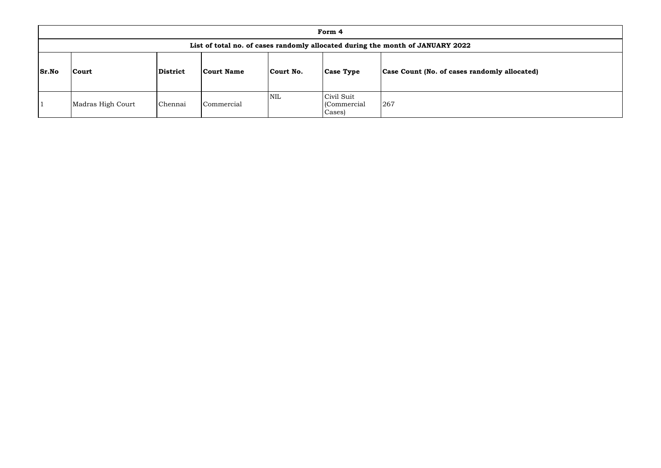|              | Form 4                                                                         |          |            |            |                                      |                                              |  |  |  |  |  |  |
|--------------|--------------------------------------------------------------------------------|----------|------------|------------|--------------------------------------|----------------------------------------------|--|--|--|--|--|--|
|              | List of total no. of cases randomly allocated during the month of JANUARY 2022 |          |            |            |                                      |                                              |  |  |  |  |  |  |
| <b>Sr.No</b> | Court                                                                          | District | Court Name | Court No.  | <b>Case Type</b>                     | Case Count (No. of cases randomly allocated) |  |  |  |  |  |  |
|              | Madras High Court                                                              | Chennai  | Commercial | <b>NIL</b> | Civil Suit<br>(Commercial)<br>Cases) | 267                                          |  |  |  |  |  |  |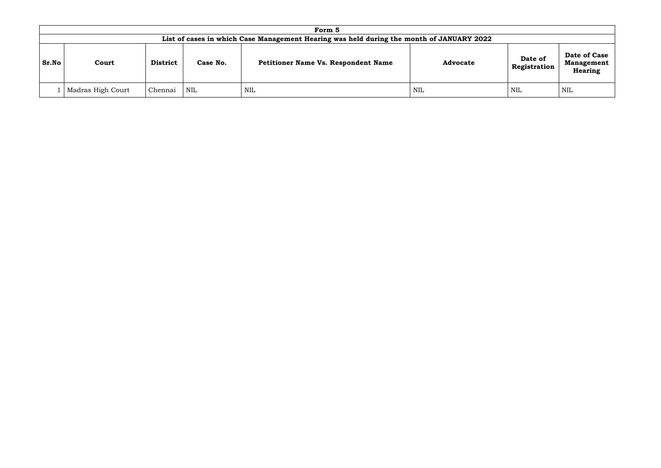|       | Form 5                                                                                   |                 |          |                                            |                 |                         |                                                     |  |  |  |  |  |
|-------|------------------------------------------------------------------------------------------|-----------------|----------|--------------------------------------------|-----------------|-------------------------|-----------------------------------------------------|--|--|--|--|--|
|       | List of cases in which Case Management Hearing was held during the month of JANUARY 2022 |                 |          |                                            |                 |                         |                                                     |  |  |  |  |  |
| Sr.No | Court                                                                                    | <b>District</b> | Case No. | <b>Petitioner Name Vs. Respondent Name</b> | <b>Advocate</b> | Date of<br>Registration | Date of Case<br><b>Management</b><br><b>Hearing</b> |  |  |  |  |  |
|       | Madras High Court                                                                        | Chennai         | NIL      | NIL                                        | <b>NIL</b>      | NIL                     | NIL                                                 |  |  |  |  |  |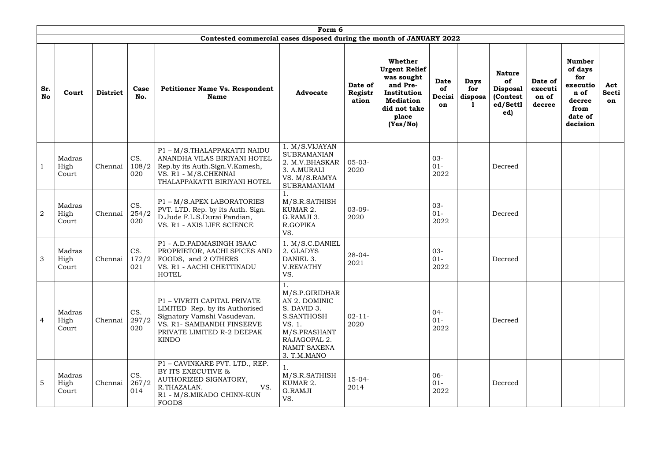|                  |                         | Form 6          |                     |                                                                                                                                                                          |                                                                                                                                       |                             |                                                                                                                                   |                                   |                               |                                                                               |                                       |                                                                                              |                           |  |
|------------------|-------------------------|-----------------|---------------------|--------------------------------------------------------------------------------------------------------------------------------------------------------------------------|---------------------------------------------------------------------------------------------------------------------------------------|-----------------------------|-----------------------------------------------------------------------------------------------------------------------------------|-----------------------------------|-------------------------------|-------------------------------------------------------------------------------|---------------------------------------|----------------------------------------------------------------------------------------------|---------------------------|--|
|                  |                         |                 |                     | Contested commercial cases disposed during the month of JANUARY 2022                                                                                                     |                                                                                                                                       |                             |                                                                                                                                   |                                   |                               |                                                                               |                                       |                                                                                              |                           |  |
| Sr.<br><b>No</b> | Court                   | <b>District</b> | Case<br>No.         | <b>Petitioner Name Vs. Respondent</b><br><b>Name</b>                                                                                                                     | <b>Advocate</b>                                                                                                                       | Date of<br>Registr<br>ation | Whether<br><b>Urgent Relief</b><br>was sought<br>and Pre-<br>Institution<br><b>Mediation</b><br>did not take<br>place<br>(Yes/No) | <b>Date</b><br>of<br>Decisi<br>on | <b>Days</b><br>for<br>disposa | <b>Nature</b><br>of<br><b>Disposal</b><br><b>(Contest)</b><br>ed/Settl<br>ed) | Date of<br>executi<br>on of<br>decree | <b>Number</b><br>of days<br>for<br>executio<br>n of<br>decree<br>from<br>date of<br>decision | Act<br><b>Secti</b><br>on |  |
|                  | Madras<br>High<br>Court | Chennai         | CS.<br>108/2<br>020 | P1 - M/S. THALAPPAKATTI NAIDU<br>ANANDHA VILAS BIRIYANI HOTEL<br>Rep.by its Auth.Sign.V.Kamesh,<br>VS. R1 - M/S.CHENNAI<br>THALAPPAKATTI BIRIYANI HOTEL                  | 1. M/S.VIJAYAN<br><b>SUBRAMANIAN</b><br>2. M.V.BHASKAR<br>3. A.MURALI<br>VS. M/S.RAMYA<br><b>SUBRAMANIAM</b>                          | $05 - 03 -$<br>2020         |                                                                                                                                   | 03-<br>$01 -$<br>2022             |                               | Decreed                                                                       |                                       |                                                                                              |                           |  |
| $\overline{2}$   | Madras<br>High<br>Court | Chennai         | CS.<br>254/2<br>020 | P1 - M/S.APEX LABORATORIES<br>PVT. LTD. Rep. by its Auth. Sign.<br>D.Jude F.L.S.Durai Pandian,<br>VS. R1 - AXIS LIFE SCIENCE                                             | M/S.R.SATHISH<br>KUMAR 2.<br>G.RAMJI 3.<br>R.GOPIKA<br>VS.                                                                            | $03-09-$<br>2020            |                                                                                                                                   | $03 -$<br>$01 -$<br>2022          |                               | Decreed                                                                       |                                       |                                                                                              |                           |  |
| 3                | Madras<br>High<br>Court | Chennai         | CS.<br>172/2<br>021 | P1 - A.D.PADMASINGH ISAAC<br>PROPRIETOR, AACHI SPICES AND<br>FOODS, and 2 OTHERS<br>VS. R1 - AACHI CHETTINADU<br><b>HOTEL</b>                                            | 1. M/S.C.DANIEL<br>2. GLADYS<br>DANIEL 3.<br><b>V.REVATHY</b><br>VS.                                                                  | $28 - 04 -$<br>2021         |                                                                                                                                   | 03-<br>$01-$<br>2022              |                               | Decreed                                                                       |                                       |                                                                                              |                           |  |
| $\overline{4}$   | Madras<br>High<br>Court | Chennai         | CS.<br>297/2<br>020 | P1 - VIVRITI CAPITAL PRIVATE<br>LIMITED Rep. by its Authorised<br>Signatory Vamshi Vasudevan.<br>VS. R1- SAMBANDH FINSERVE<br>PRIVATE LIMITED R-2 DEEPAK<br><b>KINDO</b> | M/S.P.GIRIDHAR<br>AN 2. DOMINIC<br>S. DAVID 3.<br>S.SANTHOSH<br>VS. 1.<br>M/S.PRASHANT<br>RAJAGOPAL 2.<br>NAMIT SAXENA<br>3. T.M.MANO | $02 - 11$<br>2020           |                                                                                                                                   | $04 -$<br>$01 -$<br>2022          |                               | Decreed                                                                       |                                       |                                                                                              |                           |  |
| 5                | Madras<br>High<br>Court | Chennai         | CS.<br>267/2<br>014 | P1 - CAVINKARE PVT. LTD., REP.<br>BY ITS EXECUTIVE &<br>AUTHORIZED SIGNATORY,<br>R.THAZALAN.<br>VS.<br>R1 - M/S.MIKADO CHINN-KUN<br><b>FOODS</b>                         | 1.<br>M/S.R.SATHISH<br>KUMAR 2.<br>G.RAMJI<br>VS.                                                                                     | $15-04-$<br>2014            |                                                                                                                                   | $06 -$<br>$01 -$<br>2022          |                               | Decreed                                                                       |                                       |                                                                                              |                           |  |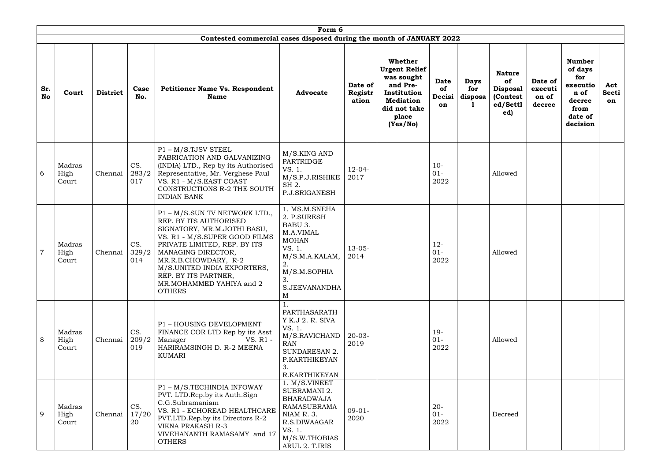|                  | Form 6<br>Contested commercial cases disposed during the month of JANUARY 2022 |                 |                     |                                                                                                                                                                                                                                                                                                           |                                                                                                                                                     |                             |                                                                                                                                   |                                   |                               |                                                                        |                                       |                                                                                              |                                  |
|------------------|--------------------------------------------------------------------------------|-----------------|---------------------|-----------------------------------------------------------------------------------------------------------------------------------------------------------------------------------------------------------------------------------------------------------------------------------------------------------|-----------------------------------------------------------------------------------------------------------------------------------------------------|-----------------------------|-----------------------------------------------------------------------------------------------------------------------------------|-----------------------------------|-------------------------------|------------------------------------------------------------------------|---------------------------------------|----------------------------------------------------------------------------------------------|----------------------------------|
|                  |                                                                                |                 |                     |                                                                                                                                                                                                                                                                                                           |                                                                                                                                                     |                             |                                                                                                                                   |                                   |                               |                                                                        |                                       |                                                                                              |                                  |
| Sr.<br><b>No</b> | Court                                                                          | <b>District</b> | Case<br>No.         | <b>Petitioner Name Vs. Respondent</b><br><b>Name</b>                                                                                                                                                                                                                                                      | <b>Advocate</b>                                                                                                                                     | Date of<br>Registr<br>ation | Whether<br><b>Urgent Relief</b><br>was sought<br>and Pre-<br>Institution<br><b>Mediation</b><br>did not take<br>place<br>(Yes/No) | <b>Date</b><br>of<br>Decisi<br>on | <b>Days</b><br>for<br>disposa | <b>Nature</b><br>of<br><b>Disposal</b><br>(Contest)<br>ed/Settl<br>ed) | Date of<br>executi<br>on of<br>decree | <b>Number</b><br>of days<br>for<br>executio<br>n of<br>decree<br>from<br>date of<br>decision | Act<br><b>Secti</b><br><b>on</b> |
| 6                | Madras<br>High<br>Court                                                        | Chennai         | CS.<br>283/2<br>017 | $P1 - M/S.TJSV$ STEEL<br>FABRICATION AND GALVANIZING<br>(INDIA) LTD., Rep by its Authorised<br>Representative, Mr. Verghese Paul<br>VS. R1 - M/S.EAST COAST<br>CONSTRUCTIONS R-2 THE SOUTH<br><b>INDIAN BANK</b>                                                                                          | M/S.KING AND<br>PARTRIDGE<br>VS. 1.<br>M/S.P.J.RISHIKE<br>SH 2.<br>P.J.SRIGANESH                                                                    | $12 - 04 -$<br>2017         |                                                                                                                                   | $10-$<br>$01-$<br>2022            |                               | Allowed                                                                |                                       |                                                                                              |                                  |
|                  | Madras<br>High<br>Court                                                        | Chennai         | CS.<br>329/2<br>014 | P1 - M/S.SUN TV NETWORK LTD.,<br>REP. BY ITS AUTHORISED<br>SIGNATORY, MR.M.JOTHI BASU,<br>VS. R1 - M/S.SUPER GOOD FILMS<br>PRIVATE LIMITED, REP. BY ITS<br>MANAGING DIRECTOR,<br>MR.R.B.CHOWDARY, R-2<br>M/S.UNITED INDIA EXPORTERS,<br>REP. BY ITS PARTNER,<br>MR.MOHAMMED YAHIYA and 2<br><b>OTHERS</b> | 1. MS.M.SNEHA<br>2. P.SURESH<br>BABU 3.<br>M.A.VIMAL<br><b>MOHAN</b><br>VS. 1.<br>M/S.M.A.KALAM,<br>2.<br>M/S.M.SOPHIA<br>3.<br>S.JEEVANANDHA<br>M  | $13 - 05 -$<br>2014         |                                                                                                                                   | $12 -$<br>$01-$<br>2022           |                               | Allowed                                                                |                                       |                                                                                              |                                  |
| 8                | Madras<br>High<br>Court                                                        | Chennai         | CS.<br>209/2<br>019 | P1 - HOUSING DEVELOPMENT<br>FINANCE COR LTD Rep by its Asst<br>VS. R1 -<br>Manager<br>HARIRAMSINGH D. R-2 MEENA<br>KUMARI                                                                                                                                                                                 | PARTHASARATH<br>Y K.J 2. R. SIVA<br>VS. 1.<br>M/S.RAVICHAND<br><b>RAN</b><br>SUNDARESAN 2.<br>P.KARTHIKEYAN<br>3.<br>R.KARTHIKEYAN                  | $20-03-$<br>2019            |                                                                                                                                   | $19-$<br>$01-$<br>2022            |                               | Allowed                                                                |                                       |                                                                                              |                                  |
| 9                | Madras<br>High<br>Court                                                        | Chennai         | CS.<br>17/20<br>20  | P1 - M/S.TECHINDIA INFOWAY<br>PVT. LTD. Rep. by its Auth. Sign<br>C.G.Subramaniam<br>VS. R1 - ECHOREAD HEALTHCARE<br>PVT.LTD.Rep.by its Directors R-2<br><b>VIKNA PRAKASH R-3</b><br>VIVEHANANTH RAMASAMY and 17<br><b>OTHERS</b>                                                                         | 1. M/S.VINEET<br>SUBRAMANI 2.<br><b>BHARADWAJA</b><br><b>RAMASUBRAMA</b><br>NIAM R. 3.<br>R.S.DIWAAGAR<br>VS. 1.<br>M/S.W.THOBIAS<br>ARUL 2. T.IRIS | $09-01-$<br>2020            |                                                                                                                                   | $20 -$<br>$01-$<br>2022           |                               | Decreed                                                                |                                       |                                                                                              |                                  |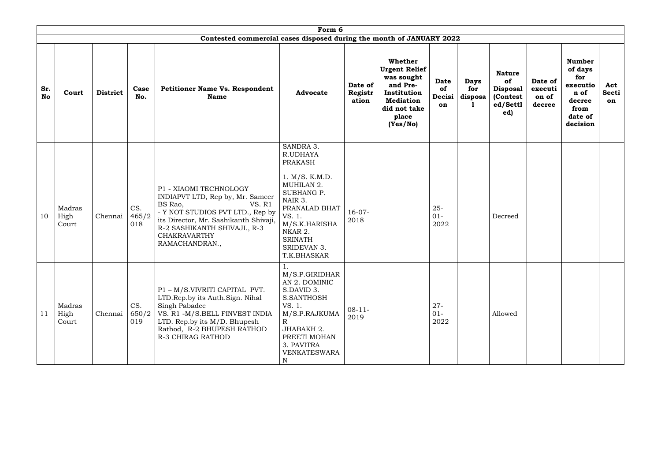|                  | Form 6                  |                 |                     |                                                                                                                                                                                                                                              |                                                                                                                                                                     |                             |                                                                                                                                   |                                   |                                     |                                                                        |                                       |                                                                                              |                           |
|------------------|-------------------------|-----------------|---------------------|----------------------------------------------------------------------------------------------------------------------------------------------------------------------------------------------------------------------------------------------|---------------------------------------------------------------------------------------------------------------------------------------------------------------------|-----------------------------|-----------------------------------------------------------------------------------------------------------------------------------|-----------------------------------|-------------------------------------|------------------------------------------------------------------------|---------------------------------------|----------------------------------------------------------------------------------------------|---------------------------|
|                  |                         |                 |                     | Contested commercial cases disposed during the month of JANUARY 2022                                                                                                                                                                         |                                                                                                                                                                     |                             |                                                                                                                                   |                                   |                                     |                                                                        |                                       |                                                                                              |                           |
| Sr.<br><b>No</b> | Court                   | <b>District</b> | Case<br>No.         | Petitioner Name Vs. Respondent<br><b>Name</b>                                                                                                                                                                                                | <b>Advocate</b>                                                                                                                                                     | Date of<br>Registr<br>ation | Whether<br><b>Urgent Relief</b><br>was sought<br>and Pre-<br>Institution<br><b>Mediation</b><br>did not take<br>place<br>(Yes/No) | <b>Date</b><br>of<br>Decisi<br>on | <b>Days</b><br>for<br>disposa<br>п. | <b>Nature</b><br>of<br><b>Disposal</b><br>(Contest)<br>ed/Settl<br>ed) | Date of<br>executi<br>on of<br>decree | <b>Number</b><br>of days<br>for<br>executio<br>n of<br>decree<br>from<br>date of<br>decision | Act<br><b>Secti</b><br>on |
|                  |                         |                 |                     |                                                                                                                                                                                                                                              | SANDRA 3.<br>R.UDHAYA<br>PRAKASH                                                                                                                                    |                             |                                                                                                                                   |                                   |                                     |                                                                        |                                       |                                                                                              |                           |
| 10               | Madras<br>High<br>Court | Chennai         | CS.<br>465/2<br>018 | P1 - XIAOMI TECHNOLOGY<br>INDIAPVT LTD, Rep by, Mr. Sameer<br>BS Rao,<br><b>VS. R1</b><br>- Y NOT STUDIOS PVT LTD., Rep by<br>its Director, Mr. Sashikanth Shivaji,<br>R-2 SASHIKANTH SHIVAJI., R-3<br><b>CHAKRAVARTHY</b><br>RAMACHANDRAN., | 1. M/S. K.M.D.<br>MUHILAN 2.<br>SUBHANG P.<br>NAIR 3.<br>PRANALAD BHAT<br>VS. 1.<br>M/S.K.HARISHA<br>NKAR 2.<br><b>SRINATH</b><br>SRIDEVAN 3.<br>T.K.BHASKAR        | $16-07-$<br>2018            |                                                                                                                                   | $25 -$<br>$01 -$<br>2022          |                                     | Decreed                                                                |                                       |                                                                                              |                           |
| 11               | Madras<br>High<br>Court | Chennai         | CS.<br>650/2<br>019 | P1 - M/S.VIVRITI CAPITAL PVT.<br>LTD.Rep.by its Auth.Sign. Nihal<br>Singh Pabadee<br>VS. R1 -M/S.BELL FINVEST INDIA<br>LTD. Rep.by its $M/D$ . Bhupesh<br>Rathod, R-2 BHUPESH RATHOD<br>R-3 CHIRAG RATHOD                                    | M/S.P.GIRIDHAR<br>AN 2. DOMINIC<br>S.DAVID 3.<br>S.SANTHOSH<br>VS. 1.<br>M/S.P.RAJKUMA<br>R<br>JHABAKH 2.<br>PREETI MOHAN<br>3. PAVITRA<br><b>VENKATESWARA</b><br>N | $08-11-$<br>2019            |                                                                                                                                   | $27 -$<br>$01 -$<br>2022          |                                     | Allowed                                                                |                                       |                                                                                              |                           |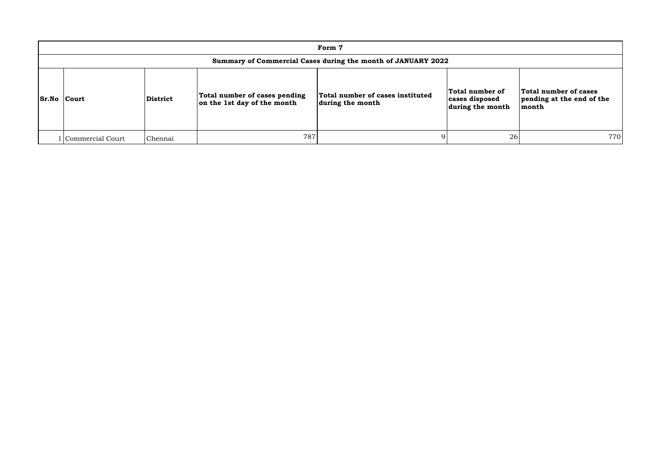| Form 7                                                       |                 |                                                              |                                                      |                                                       |                                                             |  |  |  |  |  |  |
|--------------------------------------------------------------|-----------------|--------------------------------------------------------------|------------------------------------------------------|-------------------------------------------------------|-------------------------------------------------------------|--|--|--|--|--|--|
| Summary of Commercial Cases during the month of JANUARY 2022 |                 |                                                              |                                                      |                                                       |                                                             |  |  |  |  |  |  |
| <b>Sr.No Court</b>                                           | <b>District</b> | Total number of cases pending<br>on the 1st day of the month | Total number of cases instituted<br>during the month | Total number of<br>cases disposed<br>during the month | Total number of cases<br>pending at the end of the<br>month |  |  |  |  |  |  |
| Commercial Court                                             | Chennai         | 787                                                          |                                                      | 26                                                    | 770                                                         |  |  |  |  |  |  |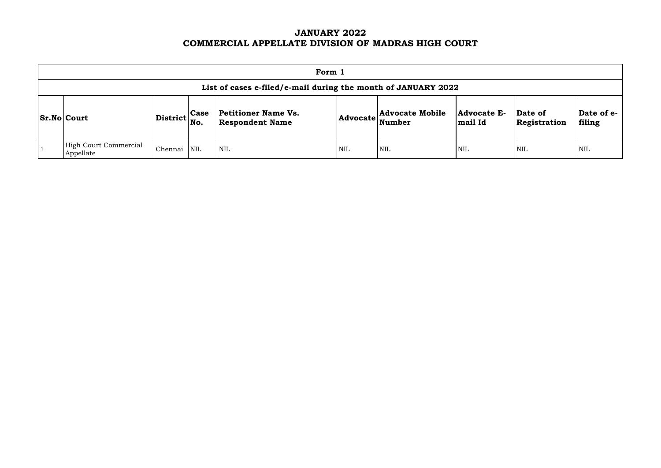# **JANUARY 2022 COMMERCIAL APPELLATE DIVISION OF MADRAS HIGH COURT**

| Form 1                                                        |                 |                    |                                                      |                 |                                  |                        |                         |                      |  |  |  |
|---------------------------------------------------------------|-----------------|--------------------|------------------------------------------------------|-----------------|----------------------------------|------------------------|-------------------------|----------------------|--|--|--|
| List of cases e-filed/e-mail during the month of JANUARY 2022 |                 |                    |                                                      |                 |                                  |                        |                         |                      |  |  |  |
| <b>Sr.No Court</b>                                            | <b>District</b> | <b>Case</b><br>No. | <b>Petitioner Name Vs.</b><br><b>Respondent Name</b> | <b>Advocate</b> | <b>Advocate Mobile</b><br>Number | Advocate E-<br>mail Id | Date of<br>Registration | Date of e-<br>filing |  |  |  |
| <b>High Court Commercial</b><br>Appellate                     | Chennai         | NIL                | $\overline{\text{NIL}}$                              | <b>NIL</b>      | <b>NIL</b>                       | <b>NIL</b>             | <b>NIL</b>              | <b>NIL</b>           |  |  |  |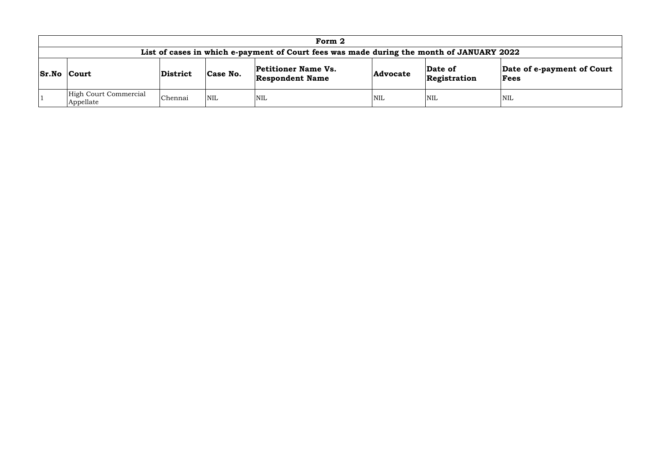|                                                                                          | Form 2                                                                                                                                                                                 |         |            |            |            |            |            |  |  |  |  |
|------------------------------------------------------------------------------------------|----------------------------------------------------------------------------------------------------------------------------------------------------------------------------------------|---------|------------|------------|------------|------------|------------|--|--|--|--|
| List of cases in which e-payment of Court fees was made during the month of JANUARY 2022 |                                                                                                                                                                                        |         |            |            |            |            |            |  |  |  |  |
|                                                                                          | Date of e-payment of Court<br><b>Petitioner Name Vs.</b><br>Date of<br><b>Sr.No Court</b><br>Case No.<br>District<br><b>Advocate</b><br>Registration<br><b>Respondent Name</b><br>Fees |         |            |            |            |            |            |  |  |  |  |
|                                                                                          | High Court Commercial<br>Appellate                                                                                                                                                     | Chennai | <b>NIL</b> | <b>NIL</b> | <b>NIL</b> | <b>NIL</b> | <b>NIL</b> |  |  |  |  |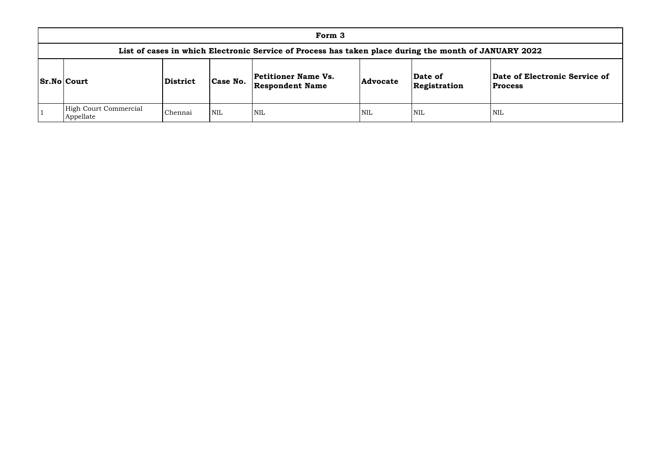| Form 3                                                                                                |          |            |                                                      |                 |                         |                                |  |  |  |  |
|-------------------------------------------------------------------------------------------------------|----------|------------|------------------------------------------------------|-----------------|-------------------------|--------------------------------|--|--|--|--|
| List of cases in which Electronic Service of Process has taken place during the month of JANUARY 2022 |          |            |                                                      |                 |                         |                                |  |  |  |  |
| <b>Sr.No Court</b>                                                                                    | District | Case No.   | <b>Petitioner Name Vs.</b><br><b>Respondent Name</b> | <b>Advocate</b> | Date of<br>Registration | Date of Elec<br><b>Process</b> |  |  |  |  |
| High Court Commercial<br>Appellate                                                                    | Chennai  | <b>NIL</b> | <b>NIL</b>                                           | <b>NIL</b>      | <b>NIL</b>              | <b>NIL</b>                     |  |  |  |  |

# **Date of Electronic Service of Process**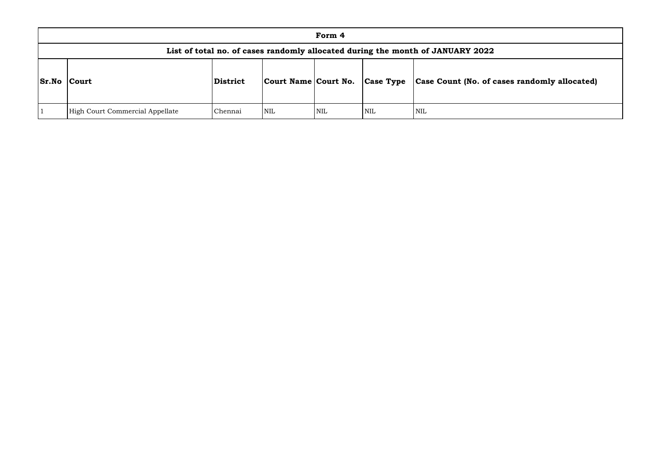|              | Form 4                                                                         |          |                      |            |                  |                       |  |  |  |  |  |
|--------------|--------------------------------------------------------------------------------|----------|----------------------|------------|------------------|-----------------------|--|--|--|--|--|
|              | List of total no. of cases randomly allocated during the month of JANUARY 2022 |          |                      |            |                  |                       |  |  |  |  |  |
| <b>Sr.No</b> | Court                                                                          | District | Court Name Court No. |            | <b>Case Type</b> | Case Count (No. of ca |  |  |  |  |  |
|              | High Court Commercial Appellate                                                | Chennai  | <b>NIL</b>           | <b>NIL</b> | NIL              | <b>NIL</b>            |  |  |  |  |  |

# **Sr.No Court District Court Name Court No. Case Type Case Count (No. of cases randomly allocated)**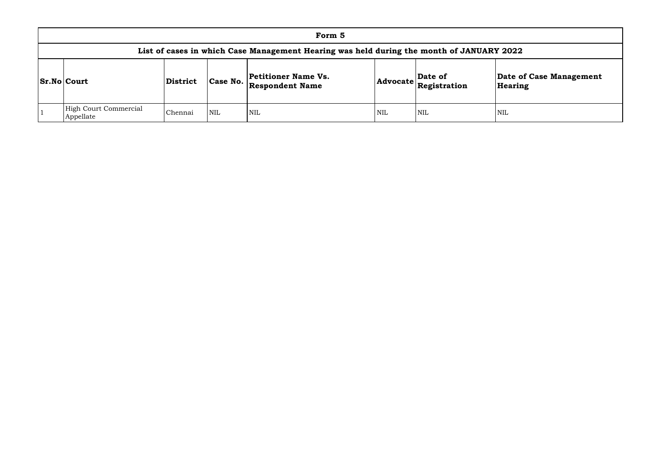| Form 5                                                                                   |                 |            |                                                      |            |                                                                 |                                |  |  |  |  |
|------------------------------------------------------------------------------------------|-----------------|------------|------------------------------------------------------|------------|-----------------------------------------------------------------|--------------------------------|--|--|--|--|
| List of cases in which Case Management Hearing was held during the month of JANUARY 2022 |                 |            |                                                      |            |                                                                 |                                |  |  |  |  |
| <b>Sr.No Court</b>                                                                       | <b>District</b> | Case No.   | <b>Petitioner Name Vs.</b><br><b>Respondent Name</b> |            | Date of<br>$ {\sf Advocate} \overline{\mathbf{F}}$ Registration | <b>Date o</b><br><b>Hearir</b> |  |  |  |  |
| <b>High Court Commercial</b><br>Appellate                                                | Chennai         | <b>NIL</b> | NIL                                                  | <b>NIL</b> | <b>NIL</b>                                                      | <b>NIL</b>                     |  |  |  |  |

# **Date of Case Management Hearing**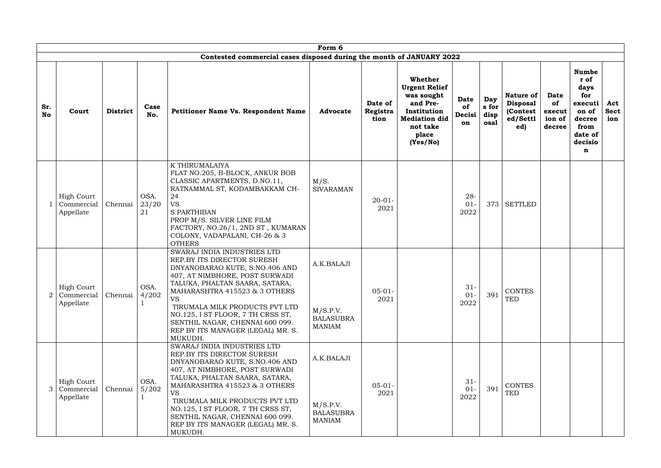|                  | Form 6                                       |                  |                     |                                                                                                                                                                                                                                                                                                                                                                         |                                                             |                             |                                                                                                                                          |                            |                              |                                                                     |                                                 |                                                                                                      |                           |
|------------------|----------------------------------------------|------------------|---------------------|-------------------------------------------------------------------------------------------------------------------------------------------------------------------------------------------------------------------------------------------------------------------------------------------------------------------------------------------------------------------------|-------------------------------------------------------------|-----------------------------|------------------------------------------------------------------------------------------------------------------------------------------|----------------------------|------------------------------|---------------------------------------------------------------------|-------------------------------------------------|------------------------------------------------------------------------------------------------------|---------------------------|
|                  |                                              |                  |                     | Contested commercial cases disposed during the month of JANUARY 2022                                                                                                                                                                                                                                                                                                    |                                                             |                             |                                                                                                                                          |                            |                              |                                                                     |                                                 |                                                                                                      |                           |
| Sr.<br><b>No</b> | Court                                        | <b>District</b>  | Case<br>No.         | <b>Petitioner Name Vs. Respondent Name</b>                                                                                                                                                                                                                                                                                                                              | <b>Advocate</b>                                             | Date of<br>Registra<br>tion | <b>Whether</b><br><b>Urgent Relief</b><br>was sought<br>and Pre-<br>Institution<br><b>Mediation did</b><br>not take<br>place<br>(Yes/No) | Date<br>of<br>Decisi<br>on | Day<br>s for<br>disp<br>osal | <b>Nature of</b><br><b>Disposal</b><br>(Contest)<br>ed/Settl<br>ed) | <b>Date</b><br>of<br>execut<br>ion of<br>decree | <b>Numbe</b><br>r of<br>days<br>for<br>executi<br>on of<br>decree<br>from<br>date of<br>decisio<br>n | Act<br><b>Sect</b><br>ion |
|                  | <b>High Court</b><br>Commercial<br>Appellate | Chennai          | OSA.<br>23/20<br>21 | K THIRUMALAIYA<br>FLAT NO.205, B-BLOCK, ANKUR BOB<br>CLASSIC APARTMENTS, D.NO.11,<br>RATNAMMAL ST, KODAMBAKKAM CH-<br>24<br><b>VS</b><br><b>S PARTHIBAN</b><br>PROP M/S. SILVER LINE FILM<br>FACTORY, NO.26/1, 2ND ST, KUMARAN<br>COLONY, VADAPALANI, CH-26 & 3<br><b>OTHERS</b>                                                                                        | M/S.<br><b>SIVARAMAN</b>                                    | $20 - 01 -$<br>2021         |                                                                                                                                          | $28 -$<br>$01 -$<br>2022   | 373                          | <b>SETTLED</b>                                                      |                                                 |                                                                                                      |                           |
| 2                | <b>High Court</b><br>Commercial<br>Appellate | Chennai $ 4/202$ | OSA.                | SWARAJ INDIA INDUSTRIES LTD<br>REP.BY ITS DIRECTOR SURESH<br>DNYANOBARAO KUTE, S.NO.406 AND<br>407, AT NIMBHORE, POST SURWADI<br>TALUKA, PHALTAN SAARA, SATARA,<br>MAHARASHTRA 415523 & 3 OTHERS<br><b>VS</b><br>TIRUMALA MILK PRODUCTS PVT LTD<br>NO.125, I ST FLOOR, 7 TH CRSS ST,<br>SENTHIL NAGAR, CHENNAI 600 099.<br>REP BY ITS MANAGER (LEGAL) MR. S.<br>MUKUDH. | A.K.BALAJI<br>M/S.P.V.<br><b>BALASUBRA</b><br><b>MANIAM</b> | $05-01-$<br>2021            |                                                                                                                                          | $31 -$<br>$01 -$<br>2022   | 391                          | CONTES<br><b>TED</b>                                                |                                                 |                                                                                                      |                           |
| 3                | <b>High Court</b><br>Commercial<br>Appellate | Chennai          | OSA.<br>5/202       | SWARAJ INDIA INDUSTRIES LTD<br>REP.BY ITS DIRECTOR SURESH<br>DNYANOBARAO KUTE, S.NO.406 AND<br>407, AT NIMBHORE, POST SURWADI<br>TALUKA, PHALTAN SAARA, SATARA,<br>MAHARASHTRA 415523 & 3 OTHERS<br><b>VS</b><br>TIRUMALA MILK PRODUCTS PVT LTD<br>NO.125, I ST FLOOR, 7 TH CRSS ST,<br>SENTHIL NAGAR, CHENNAI 600 099.<br>REP BY ITS MANAGER (LEGAL) MR. S.<br>MUKUDH. | A.K.BALAJI<br>M/S.P.V.<br><b>BALASUBRA</b><br><b>MANIAM</b> | $05-01-$<br>2021            |                                                                                                                                          | $31 -$<br>$01 -$<br>2022   | 391                          | <b>CONTES</b><br><b>TED</b>                                         |                                                 |                                                                                                      |                           |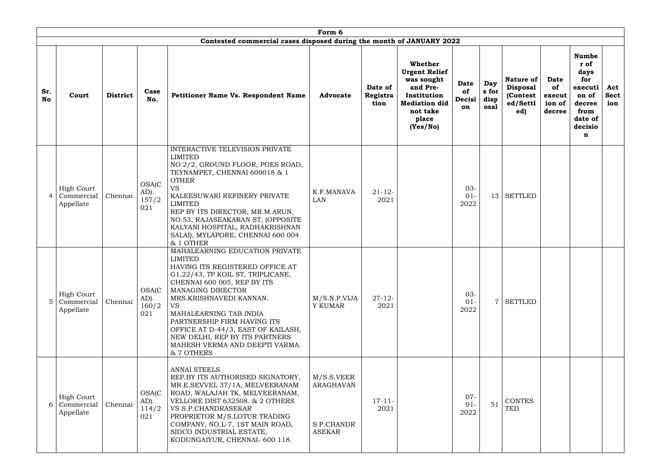|                  | Form 6<br>Contested commercial cases disposed during the month of JANUARY 2022 |                 |                                         |                                                                                                                                                                                                                                                                                                                                                                                                              |                                                        |                             |                                                                                                                                          |                                   |                              |                                                                    |                                                 |                                                                                                      |                           |
|------------------|--------------------------------------------------------------------------------|-----------------|-----------------------------------------|--------------------------------------------------------------------------------------------------------------------------------------------------------------------------------------------------------------------------------------------------------------------------------------------------------------------------------------------------------------------------------------------------------------|--------------------------------------------------------|-----------------------------|------------------------------------------------------------------------------------------------------------------------------------------|-----------------------------------|------------------------------|--------------------------------------------------------------------|-------------------------------------------------|------------------------------------------------------------------------------------------------------|---------------------------|
| Sr.<br><b>No</b> | Court                                                                          | <b>District</b> | Case<br>No.                             | Petitioner Name Vs. Respondent Name                                                                                                                                                                                                                                                                                                                                                                          | <b>Advocate</b>                                        | Date of<br>Registra<br>tion | <b>Whether</b><br><b>Urgent Relief</b><br>was sought<br>and Pre-<br>Institution<br><b>Mediation did</b><br>not take<br>place<br>(Yes/No) | <b>Date</b><br>of<br>Decisi<br>on | Day<br>s for<br>disp<br>osal | <b>Nature of</b><br><b>Disposal</b><br>(Contest<br>ed/Settl<br>ed) | <b>Date</b><br>of<br>execut<br>ion of<br>decree | <b>Numbe</b><br>r of<br>days<br>for<br>executi<br>on of<br>decree<br>from<br>date of<br>decisio<br>n | Act<br><b>Sect</b><br>ion |
| 4                | <b>High Court</b><br>Commercial<br>Appellate                                   | Chennai         | <b>OSA(C</b><br>$AD$ ).<br>157/2<br>021 | INTERACTIVE TELEVISION PRIVATE<br><b>LIMITED</b><br>NO.2/2, GROUND FLOOR, POES ROAD,<br>TEYNAMPET, CHENNAI 600018 & 1<br><b>OTHER</b><br><b>VS</b><br>KALEESUWARI REFINERY PRIVATE<br><b>LIMITED</b><br>REP BY ITS DIRECTOR, MR.M.ARUN,<br>NO.53, RAJASEAKARAN ST, (OPPOSITE<br>KALYANI HOSPITAL, RADHAKRISHNAN<br>SALAI), MYLAPORE, CHENNAI 600 004<br>& 1 OTHER                                            | K.F.MANAVA<br>LAN                                      | $21 - 12$<br>2021           |                                                                                                                                          | $03 -$<br>$01 -$<br>2022          | 13 <sup>1</sup>              | <b>SETTLED</b>                                                     |                                                 |                                                                                                      |                           |
| 5.               | <b>High Court</b><br>Commercial<br>Appellate                                   | Chennai         | <b>OSA(C)</b><br>AD).<br>160/2<br>021   | MAHALEARNING EDUCATION PRIVATE<br><b>LIMITED</b><br>HAVING ITS REGISTERED OFFICE AT<br>G1,22/43, TP KOIL ST, TRIPLICANE,<br>CHENNAI 600 005, REP BY ITS<br><b>MANAGING DIRECTOR</b><br>MRS.KRISHNAVEDI KANNAN.<br><b>VS</b><br>MAHALEARNING TAB INDIA<br>PARTNERSHIP FIRM HAVING ITS<br>OFFICE AT D-44/3, EAST OF KAILASH,<br>NEW DELHI, REP BY ITS PARTNERS<br>MAHESH VERMA AND DEEPTI VARMA.<br>& 7 OTHERS | M/S.N.P.VIJA<br>Y KUMAR                                | $27 - 12$<br>2021           |                                                                                                                                          | $03 -$<br>$01 -$<br>2022          | $\overline{7}$               | <b>SETTLED</b>                                                     |                                                 |                                                                                                      |                           |
| 6                | <b>High Court</b><br>Commercial<br>Appellate                                   | Chennai         | <b>OSA(C</b><br>AD).<br>114/2<br>021    | <b>ANNAI STEELS</b><br>REP.BY ITS AUTHORISED SIGNATORY,<br>MR.E.SEVVEL 37/1A, MELVEERANAM<br>ROAD, WALAJAH TK, MELVEERANAM,<br>VELLORE DIST 632508. & 2 OTHERS<br>VS S.P.CHANDRASEKAR<br>PROPRIETOR M/S.LOTUR TRADING<br>COMPANY, NO.L-7, 1ST MAIN ROAD,<br>SIDCO INDUSTRIAL ESTATE,<br>KODUNGAIYUR, CHENNAI- 600 118.                                                                                       | M/S.S.VEER<br>ARAGHAVAN<br>S.P.CHANDR<br><b>ASEKAR</b> | $17 - 11 -$<br>2021         |                                                                                                                                          | $07 -$<br>$01 -$<br>2022          | 51                           | <b>CONTES</b><br><b>TED</b>                                        |                                                 |                                                                                                      |                           |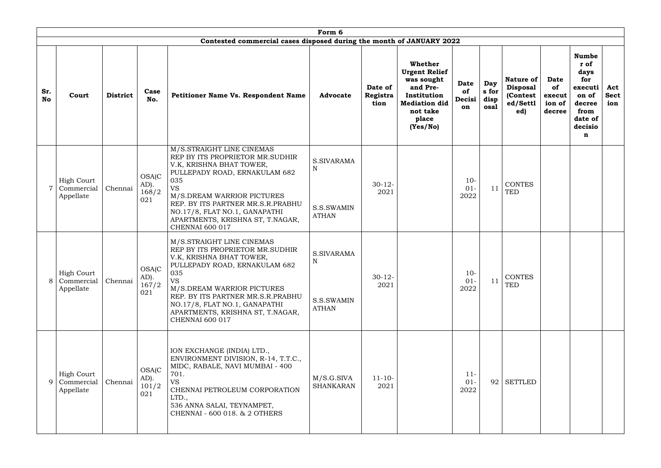|                  | Form 6<br>Contested commercial cases disposed during the month of JANUARY 2022 |                 |                                         |                                                                                                                                                                                                                                                                                                                 |                                                         |                             |                                                                                                                                   |                                   |                              |                                                                    |                                                 |                                                                                                      |                           |
|------------------|--------------------------------------------------------------------------------|-----------------|-----------------------------------------|-----------------------------------------------------------------------------------------------------------------------------------------------------------------------------------------------------------------------------------------------------------------------------------------------------------------|---------------------------------------------------------|-----------------------------|-----------------------------------------------------------------------------------------------------------------------------------|-----------------------------------|------------------------------|--------------------------------------------------------------------|-------------------------------------------------|------------------------------------------------------------------------------------------------------|---------------------------|
| Sr.<br><b>No</b> | Court                                                                          | <b>District</b> | Case<br>No.                             | Petitioner Name Vs. Respondent Name                                                                                                                                                                                                                                                                             | <b>Advocate</b>                                         | Date of<br>Registra<br>tion | Whether<br><b>Urgent Relief</b><br>was sought<br>and Pre-<br>Institution<br><b>Mediation did</b><br>not take<br>place<br>(Yes/No) | <b>Date</b><br>of<br>Decisi<br>on | Day<br>s for<br>disp<br>osal | <b>Nature of</b><br><b>Disposal</b><br>(Contest<br>ed/Settl<br>ed) | <b>Date</b><br>of<br>execut<br>ion of<br>decree | <b>Numbe</b><br>r of<br>days<br>for<br>executi<br>on of<br>decree<br>from<br>date of<br>decisio<br>n | Act<br><b>Sect</b><br>ion |
|                  | <b>High Court</b><br>Commercial<br>Appellate                                   | Chennai         | <b>OSA(C</b><br>$AD$ ).<br>168/2<br>021 | M/S.STRAIGHT LINE CINEMAS<br>REP BY ITS PROPRIETOR MR.SUDHIR<br>V.K, KRISHNA BHAT TOWER,<br>PULLEPADY ROAD, ERNAKULAM 682<br>035<br><b>VS</b><br>M/S.DREAM WARRIOR PICTURES<br>REP. BY ITS PARTNER MR.S.R.PRABHU<br>NO.17/8, FLAT NO.1, GANAPATHI<br>APARTMENTS, KRISHNA ST, T.NAGAR,<br><b>CHENNAI 600 017</b> | S.SIVARAMA<br>$\mathbf N$<br>S.S.SWAMIN<br><b>ATHAN</b> | $30-12-$<br>2021            |                                                                                                                                   | $10-$<br>$01 -$<br>2022           | 11                           | <b>CONTES</b><br>TED                                               |                                                 |                                                                                                      |                           |
|                  | High Court<br>Commercial<br>Appellate                                          | Chennai         | OSA(C<br>AD).<br>167/2<br>021           | M/S.STRAIGHT LINE CINEMAS<br>REP BY ITS PROPRIETOR MR.SUDHIR<br>V.K, KRISHNA BHAT TOWER,<br>PULLEPADY ROAD, ERNAKULAM 682<br>035<br><b>VS</b><br>M/S.DREAM WARRIOR PICTURES<br>REP. BY ITS PARTNER MR.S.R.PRABHU<br>NO.17/8, FLAT NO.1, GANAPATHI<br>APARTMENTS, KRISHNA ST, T.NAGAR,<br><b>CHENNAI 600 017</b> | S.SIVARAMA<br>N<br>S.S.SWAMIN<br><b>ATHAN</b>           | $30-12-$<br>2021            |                                                                                                                                   | $10-$<br>$01 -$<br>2022           | 11                           | <b>CONTES</b><br>TED                                               |                                                 |                                                                                                      |                           |
| 9                | <b>High Court</b><br>Commercial<br>Appellate                                   | Chennai         | <b>OSA(C</b><br>AD).<br>101/2<br>021    | ION EXCHANGE (INDIA) LTD.,<br>ENVIRONMENT DIVISION, R-14, T.T.C.,<br>MIDC, RABALE, NAVI MUMBAI - 400<br>701.<br><b>VS</b><br>CHENNAI PETROLEUM CORPORATION<br>LTD.,<br>536 ANNA SALAI, TEYNAMPET,<br>CHENNAI - 600 018. & 2 OTHERS                                                                              | M/S.G.SIVA<br><b>SHANKARAN</b>                          | $11 - 10 -$<br>2021         |                                                                                                                                   | $11-$<br>$01 -$<br>2022           | 92                           | <b>SETTLED</b>                                                     |                                                 |                                                                                                      |                           |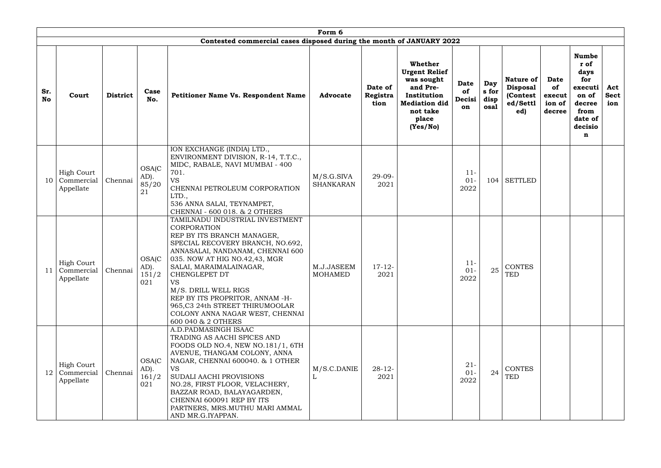|                  | Form 6                                       |                 |                                       |                                                                                                                                                                                                                                                                                                                                                                                                       |                                |                             |                                                                                                                                   |                                   |                              |                                                                    |                                                 |                                                                                                      |                           |
|------------------|----------------------------------------------|-----------------|---------------------------------------|-------------------------------------------------------------------------------------------------------------------------------------------------------------------------------------------------------------------------------------------------------------------------------------------------------------------------------------------------------------------------------------------------------|--------------------------------|-----------------------------|-----------------------------------------------------------------------------------------------------------------------------------|-----------------------------------|------------------------------|--------------------------------------------------------------------|-------------------------------------------------|------------------------------------------------------------------------------------------------------|---------------------------|
|                  |                                              |                 |                                       | Contested commercial cases disposed during the month of JANUARY 2022                                                                                                                                                                                                                                                                                                                                  |                                |                             |                                                                                                                                   |                                   |                              |                                                                    |                                                 |                                                                                                      |                           |
| Sr.<br><b>No</b> | Court                                        | <b>District</b> | Case<br>No.                           | <b>Petitioner Name Vs. Respondent Name</b>                                                                                                                                                                                                                                                                                                                                                            | <b>Advocate</b>                | Date of<br>Registra<br>tion | Whether<br><b>Urgent Relief</b><br>was sought<br>and Pre-<br>Institution<br><b>Mediation did</b><br>not take<br>place<br>(Yes/No) | <b>Date</b><br>of<br>Decisi<br>on | Day<br>s for<br>disp<br>osal | <b>Nature of</b><br><b>Disposal</b><br>(Contest<br>ed/Settl<br>ed) | <b>Date</b><br>of<br>execut<br>ion of<br>decree | <b>Numbe</b><br>r of<br>days<br>for<br>executi<br>on of<br>decree<br>from<br>date of<br>decisio<br>n | Act<br><b>Sect</b><br>ion |
| 10               | <b>High Court</b><br>Commercial<br>Appellate | Chennai         | <b>OSA(C</b><br>AD).<br>85/20<br>21   | ION EXCHANGE (INDIA) LTD.,<br>ENVIRONMENT DIVISION, R-14, T.T.C.,<br>MIDC, RABALE, NAVI MUMBAI - 400<br>701.<br><b>VS</b><br>CHENNAI PETROLEUM CORPORATION<br>LTD.,<br>536 ANNA SALAI, TEYNAMPET,<br>CHENNAI - 600 018. & 2 OTHERS                                                                                                                                                                    | M/S.G.SIVA<br><b>SHANKARAN</b> | $29 - 09 -$<br>2021         |                                                                                                                                   | $11 -$<br>$01 -$<br>2022          | 104                          | <b>SETTLED</b>                                                     |                                                 |                                                                                                      |                           |
| 11               | <b>High Court</b><br>Commercial<br>Appellate | Chennai         | OSA(C<br>AD).<br>151/2<br>021         | TAMILNADU INDUSTRIAL INVESTMENT<br>CORPORATION<br>REP BY ITS BRANCH MANAGER,<br>SPECIAL RECOVERY BRANCH, NO.692,<br>ANNASALAI, NANDANAM, CHENNAI 600<br>035. NOW AT HIG NO.42,43, MGR<br>SALAI, MARAIMALAINAGAR,<br>CHENGLEPET DT<br><b>VS</b><br>M/S. DRILL WELL RIGS<br>REP BY ITS PROPRITOR, ANNAM -H-<br>965, C3 24th STREET THIRUMOOLAR<br>COLONY ANNA NAGAR WEST, CHENNAI<br>600 040 & 2 OTHERS | M.J.JASEEM<br><b>MOHAMED</b>   | $17 - 12$<br>2021           |                                                                                                                                   | $11 -$<br>$01 -$<br>2022          | 25                           | <b>CONTES</b><br>TED                                               |                                                 |                                                                                                      |                           |
| 12               | <b>High Court</b><br>Commercial<br>Appellate | Chennai         | <b>OSA(C)</b><br>AD).<br>161/2<br>021 | A.D.PADMASINGH ISAAC<br>TRADING AS AACHI SPICES AND<br>FOODS OLD NO.4, NEW NO.181/1, 6TH<br>AVENUE, THANGAM COLONY, ANNA<br>NAGAR, CHENNAI 600040. & 1 OTHER<br><b>VS</b><br>SUDALI AACHI PROVISIONS<br>NO.28, FIRST FLOOR, VELACHERY,<br>BAZZAR ROAD, BALAYAGARDEN,<br>CHENNAI 600091 REP BY ITS<br>PARTNERS, MRS.MUTHU MARI AMMAL<br>AND MR.G.IYAPPAN.                                              | M/S.C.DANIE                    | $28 - 12$<br>2021           |                                                                                                                                   | $21 -$<br>$01 -$<br>2022          | 24                           | <b>CONTES</b><br><b>TED</b>                                        |                                                 |                                                                                                      |                           |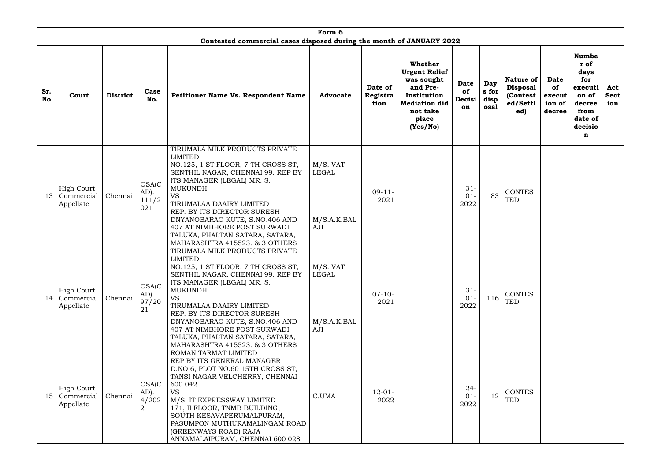|                  | Form 6                                       |                 |                                                     |                                                                                                                                                                                                                                                                                                                                                                                            |                                           |                             |                                                                                                                                   |                                   |                              |                                                                    |                                                 |                                                                                                      |                           |
|------------------|----------------------------------------------|-----------------|-----------------------------------------------------|--------------------------------------------------------------------------------------------------------------------------------------------------------------------------------------------------------------------------------------------------------------------------------------------------------------------------------------------------------------------------------------------|-------------------------------------------|-----------------------------|-----------------------------------------------------------------------------------------------------------------------------------|-----------------------------------|------------------------------|--------------------------------------------------------------------|-------------------------------------------------|------------------------------------------------------------------------------------------------------|---------------------------|
|                  |                                              |                 |                                                     | Contested commercial cases disposed during the month of JANUARY 2022                                                                                                                                                                                                                                                                                                                       |                                           |                             |                                                                                                                                   |                                   |                              |                                                                    |                                                 |                                                                                                      |                           |
| Sr.<br><b>No</b> | Court                                        | <b>District</b> | Case<br>No.                                         | Petitioner Name Vs. Respondent Name                                                                                                                                                                                                                                                                                                                                                        | <b>Advocate</b>                           | Date of<br>Registra<br>tion | Whether<br><b>Urgent Relief</b><br>was sought<br>and Pre-<br>Institution<br><b>Mediation did</b><br>not take<br>place<br>(Yes/No) | <b>Date</b><br>of<br>Decisi<br>on | Day<br>s for<br>disp<br>osal | <b>Nature of</b><br><b>Disposal</b><br>(Contest<br>ed/Settl<br>ed) | <b>Date</b><br>of<br>execut<br>ion of<br>decree | <b>Numbe</b><br>r of<br>days<br>for<br>executi<br>on of<br>decree<br>from<br>date of<br>decisio<br>n | Act<br><b>Sect</b><br>ion |
| 13               | <b>High Court</b><br>Commercial<br>Appellate | Chennai         | <b>OSA(C</b><br>AD).<br>111/2<br>021                | TIRUMALA MILK PRODUCTS PRIVATE<br><b>LIMITED</b><br>NO.125, 1 ST FLOOR, 7 TH CROSS ST,<br>SENTHIL NAGAR, CHENNAI 99. REP BY<br>ITS MANAGER (LEGAL) MR. S.<br><b>MUKUNDH</b><br><b>VS</b><br>TIRUMALAA DAAIRY LIMITED<br>REP. BY ITS DIRECTOR SURESH<br>DNYANOBARAO KUTE, S.NO.406 AND<br>407 AT NIMBHORE POST SURWADI<br>TALUKA, PHALTAN SATARA, SATARA,<br>MAHARASHTRA 415523. & 3 OTHERS | M/S. VAT<br>LEGAL<br>M/S.A.K.BAL<br>AJI   | $09-11-$<br>2021            |                                                                                                                                   | $31 -$<br>$01-$<br>2022           | 83                           | <b>CONTES</b><br><b>TED</b>                                        |                                                 |                                                                                                      |                           |
| 14               | <b>High Court</b><br>Commercial<br>Appellate | Chennai         | <b>OSA(C</b><br>$AD$ ).<br>97/20<br>21              | TIRUMALA MILK PRODUCTS PRIVATE<br>LIMITED<br>NO.125, 1 ST FLOOR, 7 TH CROSS ST,<br>SENTHIL NAGAR, CHENNAI 99. REP BY<br>ITS MANAGER (LEGAL) MR. S.<br><b>MUKUNDH</b><br><b>VS</b><br>TIRUMALAA DAAIRY LIMITED<br>REP. BY ITS DIRECTOR SURESH<br>DNYANOBARAO KUTE, S.NO.406 AND<br><b>407 AT NIMBHORE POST SURWADI</b><br>TALUKA, PHALTAN SATARA, SATARA,<br>MAHARASHTRA 415523. & 3 OTHERS | M/S. VAT<br>  LEGAL<br>M/S.A.K.BAL<br>AJI | $07-10-$<br>2021            |                                                                                                                                   | $31 -$<br>$01-$<br>2022           | 116                          | <b>CONTES</b><br>TED                                               |                                                 |                                                                                                      |                           |
| 15               | <b>High Court</b><br>Commercial<br>Appellate | Chennai         | <b>OSA(C)</b><br>$AD$ ).<br>4/202<br>$\overline{2}$ | ROMAN TARMAT LIMITED<br>REP BY ITS GENERAL MANAGER<br>D.NO.6, PLOT NO.60 15TH CROSS ST,<br>TANSI NAGAR VELCHERRY, CHENNAI<br>600 042<br><b>VS</b><br>M/S. IT EXPRESSWAY LIMITED<br>171, II FLOOR, TNMB BUILDING,<br>SOUTH KESAVAPERUMALPURAM,<br>PASUMPON MUTHURAMALINGAM ROAD<br>(GREENWAYS ROAD) RAJA<br>ANNAMALAIPURAM, CHENNAI 600 028                                                 | C.UMA                                     | $12 - 01 -$<br>2022         |                                                                                                                                   | $24 -$<br>$01 -$<br>2022          | 12                           | <b>CONTES</b><br><b>TED</b>                                        |                                                 |                                                                                                      |                           |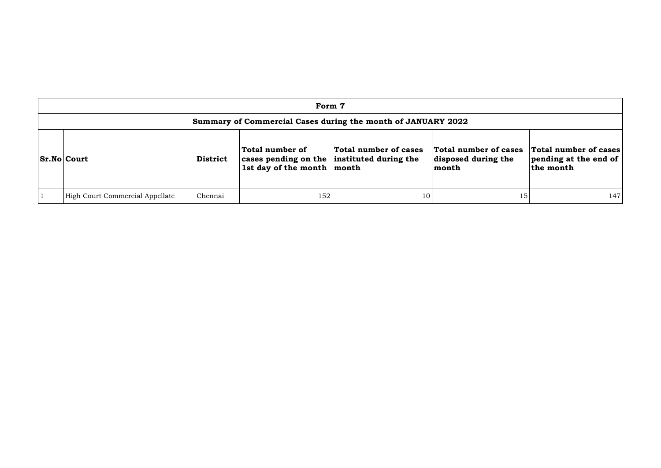| Form 7                                                       |                 |                                                                                                 |                       |                                                       |                                                             |  |  |  |  |
|--------------------------------------------------------------|-----------------|-------------------------------------------------------------------------------------------------|-----------------------|-------------------------------------------------------|-------------------------------------------------------------|--|--|--|--|
| Summary of Commercial Cases during the month of JANUARY 2022 |                 |                                                                                                 |                       |                                                       |                                                             |  |  |  |  |
| <b>Sr.No Court</b>                                           | <b>District</b> | Total number of<br>cases pending on the instituted during the<br>1st day of the month $ $ month | Total number of cases | Total number of cases<br>disposed during the<br>month | Total number of cases<br>pending at the end of<br>the month |  |  |  |  |
| High Court Commercial Appellate                              | Chennai         | 152                                                                                             | 10                    | 15                                                    | 147                                                         |  |  |  |  |

| cases<br>the | <b>Total number of cases</b><br>pending at the end of<br>the month |
|--------------|--------------------------------------------------------------------|
| 1.5          | 14′                                                                |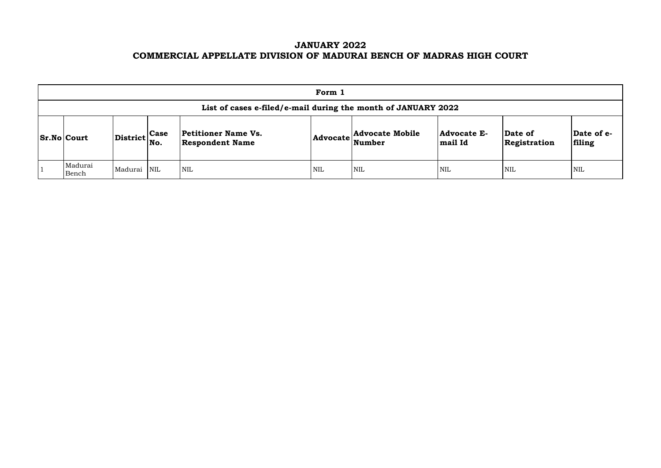# **JANUARY 2022 COMMERCIAL APPELLATE DIVISION OF MADURAI BENCH OF MADRAS HIGH COURT**

| Form 1                                                        |                                                           |  |                                               |     |                                                            |                                                |                         |                       |  |  |  |
|---------------------------------------------------------------|-----------------------------------------------------------|--|-----------------------------------------------|-----|------------------------------------------------------------|------------------------------------------------|-------------------------|-----------------------|--|--|--|
| List of cases e-filed/e-mail during the month of JANUARY 2022 |                                                           |  |                                               |     |                                                            |                                                |                         |                       |  |  |  |
| $ Sr.No $ Court                                               | $\left \text{District}\right _{\text{No.}}^{\text{Case}}$ |  | Petitioner Name Vs.<br><b>Respondent Name</b> |     | <b>Advocate Mobile</b><br>$ {\bf Advocate} \text{Number} $ | <b>Advocate E-</b><br>$\left  \right.$ mail Id | Date of<br>Registration | $\mathbf{Da}$<br>fili |  |  |  |
| Madurai<br>Bench                                              | Madurai NIL                                               |  | <b>NIL</b>                                    | NIL | <b>NIL</b>                                                 | <b>NIL</b>                                     | <b>NIL</b>              | NIL                   |  |  |  |

| Date of<br>Registration | Date of e-<br>filing |
|-------------------------|----------------------|
| NIL                     | NH.                  |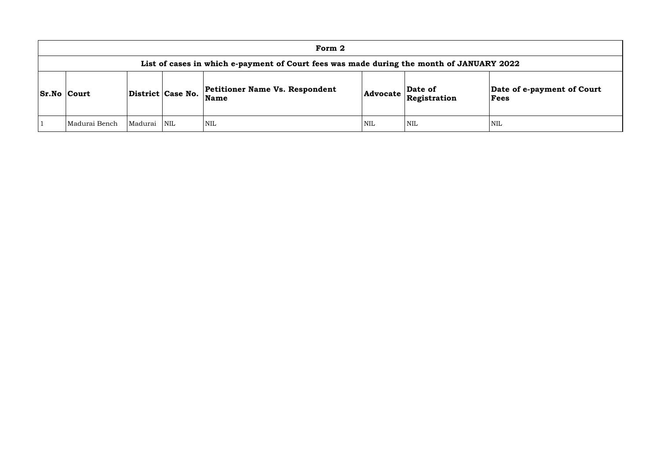|                    | Form 2                                                                                   |         |                                                                    |            |     |                                                                                                                  |                        |  |  |  |  |
|--------------------|------------------------------------------------------------------------------------------|---------|--------------------------------------------------------------------|------------|-----|------------------------------------------------------------------------------------------------------------------|------------------------|--|--|--|--|
|                    | List of cases in which e-payment of Court fees was made during the month of JANUARY 2022 |         |                                                                    |            |     |                                                                                                                  |                        |  |  |  |  |
| <b>Sr.No Court</b> |                                                                                          |         | <b>Petitioner Name Vs. Respondent</b><br>District Case No.<br>Name |            |     | $\begin{array}{ l } \hline \textbf{Advocate} & \textbf{Date of} \\ \hline \textbf{Registribution} & \end{array}$ | Date of<br><b>Fees</b> |  |  |  |  |
|                    | Madurai Bench                                                                            | Madurai | $\overline{\text{NIL}}$                                            | <b>NIL</b> | NIL | <b>NIL</b>                                                                                                       | NIL                    |  |  |  |  |

# **Date of e-payment of Court Fees**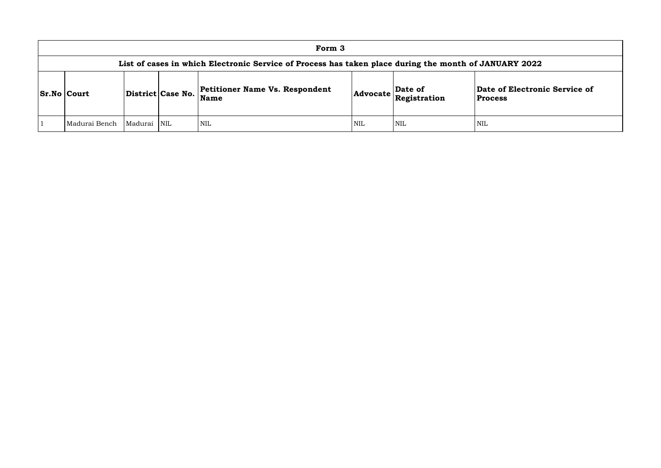## **of Electronic Service of Process**

| Form 3                                                                                                |         |                         |                                                      |     |                                                                       |                                    |  |  |  |  |
|-------------------------------------------------------------------------------------------------------|---------|-------------------------|------------------------------------------------------|-----|-----------------------------------------------------------------------|------------------------------------|--|--|--|--|
| List of cases in which Electronic Service of Process has taken place during the month of JANUARY 2022 |         |                         |                                                      |     |                                                                       |                                    |  |  |  |  |
| <b>Sr.No Court</b><br>District Case No.                                                               |         |                         | <b>Petitioner Name Vs. Respondent</b><br><b>Name</b> |     | $\left  \text{Advocate} \right $ $\left  \text{Resistration} \right $ | Date of Electron<br><b>Process</b> |  |  |  |  |
| Madurai Bench                                                                                         | Madurai | $\overline{\text{NIL}}$ | NIL <sup>1</sup>                                     | NIL | NIL                                                                   | <b>NIL</b>                         |  |  |  |  |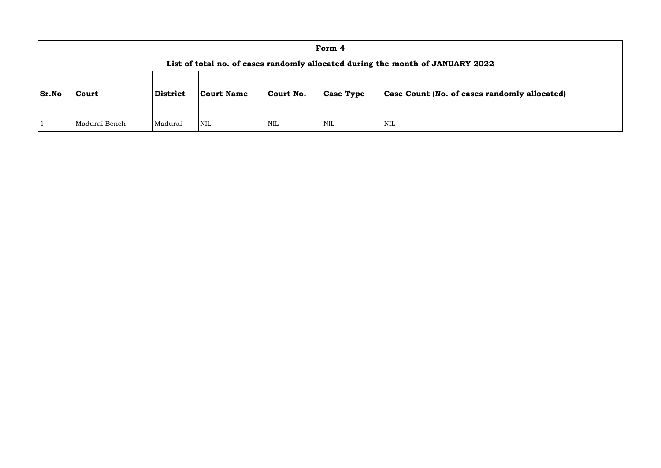|              | Form 4                                                                         |          |            |            |                  |                                      |  |  |  |  |  |
|--------------|--------------------------------------------------------------------------------|----------|------------|------------|------------------|--------------------------------------|--|--|--|--|--|
|              | List of total no. of cases randomly allocated during the month of JANUARY 2022 |          |            |            |                  |                                      |  |  |  |  |  |
| <b>Sr.No</b> | <b>Court</b>                                                                   | District | Court Name | Court No.  | <b>Case Type</b> | <b>Case Count (No. of cases rand</b> |  |  |  |  |  |
|              | Madurai Bench                                                                  | Madurai  | <b>NIL</b> | <b>NIL</b> | <b>NIL</b>       | NIL                                  |  |  |  |  |  |

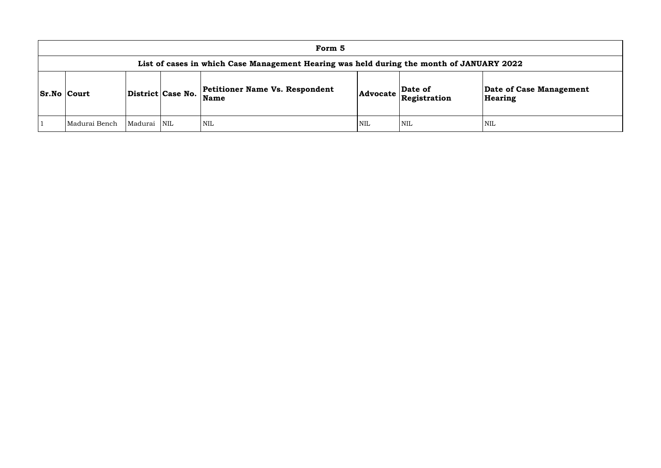| Form 5                                                                                   |         |            |                                        |            |                                                                            |                      |  |  |  |  |  |
|------------------------------------------------------------------------------------------|---------|------------|----------------------------------------|------------|----------------------------------------------------------------------------|----------------------|--|--|--|--|--|
| List of cases in which Case Management Hearing was held during the month of JANUARY 2022 |         |            |                                        |            |                                                                            |                      |  |  |  |  |  |
| District Case No.<br><b>Sr.No Court</b>                                                  |         |            | Petitioner Name Vs. Respondent<br>Name |            | Date of<br>$ {\bf Advocate}\left \stackrel{\text{def}}{\text{Res}}\right $ | Date of C<br>Hearing |  |  |  |  |  |
| Madurai Bench                                                                            | Madurai | <b>NIL</b> | <b>NIL</b>                             | <b>NIL</b> | <b>NIL</b>                                                                 | NIL                  |  |  |  |  |  |

**e of Case Management** ring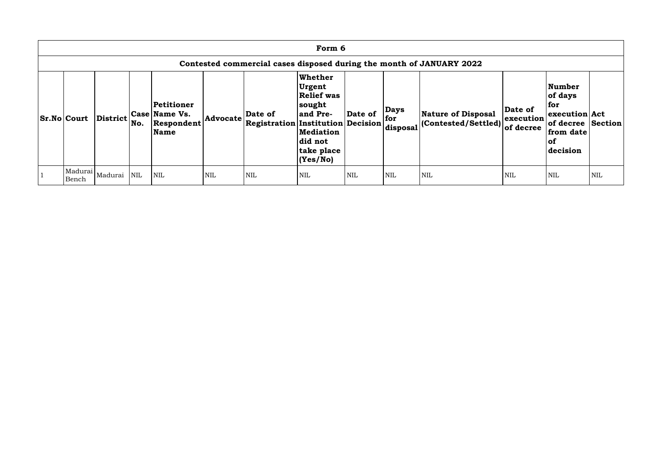| Form 6                                                               |                             |            |                                                   |            |                                                     |                                                                                                                                |            |                                |                                                   |                                   |                                                                                                          |            |
|----------------------------------------------------------------------|-----------------------------|------------|---------------------------------------------------|------------|-----------------------------------------------------|--------------------------------------------------------------------------------------------------------------------------------|------------|--------------------------------|---------------------------------------------------|-----------------------------------|----------------------------------------------------------------------------------------------------------|------------|
| Contested commercial cases disposed during the month of JANUARY 2022 |                             |            |                                                   |            |                                                     |                                                                                                                                |            |                                |                                                   |                                   |                                                                                                          |            |
| <b>Sr.No Court</b>                                                   | <b>District</b>             | No.        | Petitioner<br>Case Name Vs.<br>Respondent<br>Name | Advocate   | Date of<br><b>Registration Institution Decision</b> | Whether<br><b>Urgent</b><br><b>Relief was</b><br> sought<br>and Pre-<br><b>Mediation</b><br>did not<br>take place<br> (Yes/No) | Date of    | <b>Days</b><br>for<br>disposal | Nature of Disposal<br>$ $ (Contested/Settled) $ $ | Date of<br>execution<br>of decree | <b>Number</b><br>of days<br>for<br>execution Act<br>of decree Section<br>from date<br>$ $ of<br>decision |            |
| Bench                                                                | Madurai  <sub>Madurai</sub> | <b>NIL</b> | <b>NIL</b>                                        | <b>NIL</b> | <b>NIL</b>                                          | <b>NIL</b>                                                                                                                     | <b>NIL</b> | <b>NIL</b>                     | <b>NIL</b>                                        | <b>NIL</b>                        | <b>NIL</b>                                                                                               | <b>NIL</b> |